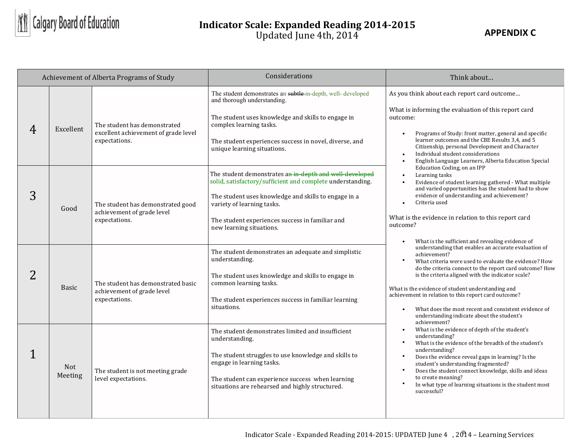

## **Indicator Scale: Expanded Reading 2014-2015** Updated June 4th, 2014

| Achievement of Alberta Programs of Study |                |                                                                                       | Considerations                                                                                                                                                                                                                                                                             | Think about                                                                                                                                                                                                                                                                                                                                                                                                                                                                                   |
|------------------------------------------|----------------|---------------------------------------------------------------------------------------|--------------------------------------------------------------------------------------------------------------------------------------------------------------------------------------------------------------------------------------------------------------------------------------------|-----------------------------------------------------------------------------------------------------------------------------------------------------------------------------------------------------------------------------------------------------------------------------------------------------------------------------------------------------------------------------------------------------------------------------------------------------------------------------------------------|
| 4                                        | Excellent      | The student has demonstrated<br>excellent achievement of grade level<br>expectations. | The student demonstrates an subtle-in-depth, well- developed<br>and thorough understanding.<br>The student uses knowledge and skills to engage in<br>complex learning tasks.<br>The student experiences success in novel, diverse, and<br>unique learning situations.                      | As you think about each report card outcome<br>What is informing the evaluation of this report card<br>outcome:<br>Programs of Study: front matter, general and specific<br>$\bullet$<br>learner outcomes and the CBE Results 3,4, and 5<br>Citizenship, personal Development and Character<br>Individual student considerations<br>$\bullet$<br>English Language Learners, Alberta Education Special<br>$\bullet$                                                                            |
| 3                                        | Good           | The student has demonstrated good<br>achievement of grade level<br>expectations.      | The student demonstrates an in-depth and well-developed<br>solid, satisfactory/sufficient and complete understanding.<br>The student uses knowledge and skills to engage in a<br>variety of learning tasks.<br>The student experiences success in familiar and<br>new learning situations. | Education Coding, on an IPP<br>Learning tasks<br>$\bullet$<br>Evidence of student learning gathered - What multiple<br>and varied opportunities has the student had to show<br>evidence of understanding and achievement?<br>Criteria used<br>$\bullet$<br>What is the evidence in relation to this report card<br>outcome?<br>What is the sufficient and revealing evidence of                                                                                                               |
| 2                                        | <b>Basic</b>   | The student has demonstrated basic<br>achievement of grade level<br>expectations.     | The student demonstrates an adequate and simplistic<br>understanding.<br>The student uses knowledge and skills to engage in<br>common learning tasks.<br>The student experiences success in familiar learning<br>situations.                                                               | understanding that enables an accurate evaluation of<br>achievement?<br>What criteria were used to evaluate the evidence? How<br>do the criteria connect to the report card outcome? How<br>is the criteria aligned with the indicator scale?<br>What is the evidence of student understanding and<br>achievement in relation to this report card outcome?<br>What does the most recent and consistent evidence of<br>$\bullet$<br>understanding indicate about the student's<br>achievement? |
|                                          | Not<br>Meeting | The student is not meeting grade<br>level expectations.                               | The student demonstrates limited and insufficient<br>understanding.<br>The student struggles to use knowledge and skills to<br>engage in learning tasks.<br>The student can experience success when learning<br>situations are rehearsed and highly structured.                            | What is the evidence of depth of the student's<br>$\bullet$<br>understanding?<br>What is the evidence of the breadth of the student's<br>$\bullet$<br>understanding?<br>$\bullet$<br>Does the evidence reveal gaps in learning? Is the<br>student's understanding fragmented?<br>$\bullet$<br>Does the student connect knowledge, skills and ideas<br>to create meaning?<br>$\bullet$<br>In what type of learning situations is the student most<br>successful?                               |